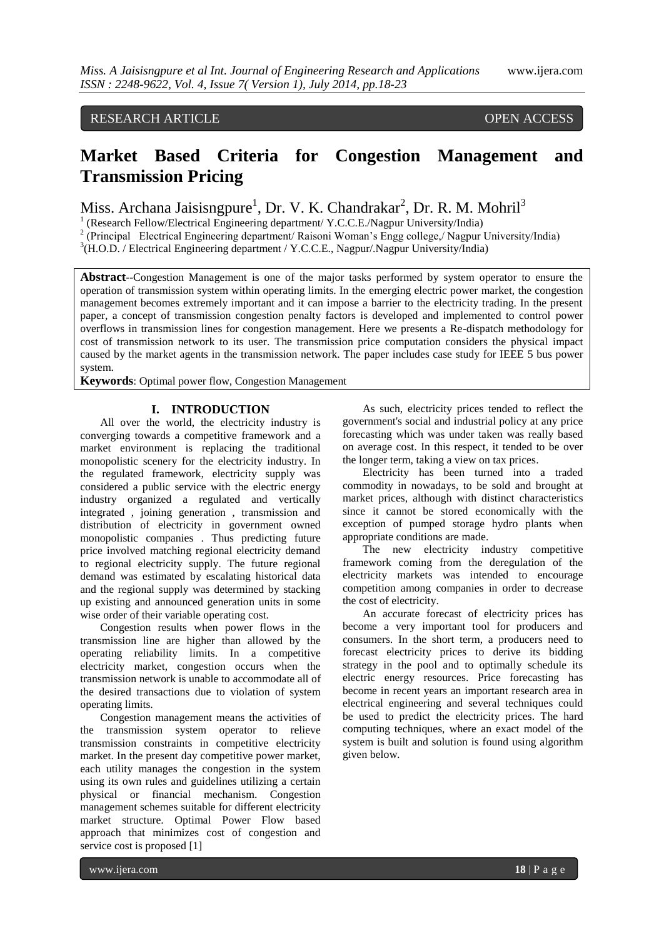## RESEARCH ARTICLE OPEN ACCESS

# **Market Based Criteria for Congestion Management and Transmission Pricing**

Miss. Archana Jaisisngpure<sup>1</sup>, Dr. V. K. Chandrakar<sup>2</sup>, Dr. R. M. Mohril<sup>3</sup>

<sup>1</sup> (Research Fellow/Electrical Engineering department/Y.C.C.E./Nagpur University/India)

<sup>2</sup> (Principal Electrical Engineering department/ Raisoni Woman's Engg college,/ Nagpur University/India)

<sup>3</sup>(H.O.D. / Electrical Engineering department / Y.C.C.E., Nagpur/.Nagpur University/India)

**Abstract**--Congestion Management is one of the major tasks performed by system operator to ensure the operation of transmission system within operating limits. In the emerging electric power market, the congestion management becomes extremely important and it can impose a barrier to the electricity trading. In the present paper, a concept of transmission congestion penalty factors is developed and implemented to control power overflows in transmission lines for congestion management. Here we presents a Re-dispatch methodology for cost of transmission network to its user. The transmission price computation considers the physical impact caused by the market agents in the transmission network. The paper includes case study for IEEE 5 bus power system.

**Keywords**: Optimal power flow, Congestion Management

#### **I. INTRODUCTION**

All over the world, the electricity industry is converging towards a competitive framework and a market environment is replacing the traditional monopolistic scenery for the electricity industry. In the regulated framework, electricity supply was considered a public service with the electric energy industry organized a regulated and vertically integrated , joining generation , transmission and distribution of electricity in government owned monopolistic companies . Thus predicting future price involved matching regional electricity demand to regional electricity supply. The future regional demand was estimated by escalating historical data and the regional supply was determined by stacking up existing and announced generation units in some wise order of their variable operating cost.

Congestion results when power flows in the transmission line are higher than allowed by the operating reliability limits. In a competitive electricity market, congestion occurs when the transmission network is unable to accommodate all of the desired transactions due to violation of system operating limits.

Congestion management means the activities of the transmission system operator to relieve transmission constraints in competitive electricity market. In the present day competitive power market, each utility manages the congestion in the system using its own rules and guidelines utilizing a certain physical or financial mechanism. Congestion management schemes suitable for different electricity market structure. Optimal Power Flow based approach that minimizes cost of congestion and service cost is proposed [1]

As such, electricity prices tended to reflect the government's social and industrial policy at any price forecasting which was under taken was really based on average cost. In this respect, it tended to be over the longer term, taking a view on tax prices.

Electricity has been turned into a traded commodity in nowadays, to be sold and brought at market prices, although with distinct characteristics since it cannot be stored economically with the exception of pumped storage hydro plants when appropriate conditions are made.

The new electricity industry competitive framework coming from the deregulation of the electricity markets was intended to encourage competition among companies in order to decrease the cost of electricity.

An accurate forecast of electricity prices has become a very important tool for producers and consumers. In the short term, a producers need to forecast electricity prices to derive its bidding strategy in the pool and to optimally schedule its electric energy resources. Price forecasting has become in recent years an important research area in electrical engineering and several techniques could be used to predict the electricity prices. The hard computing techniques, where an exact model of the system is built and solution is found using algorithm given below.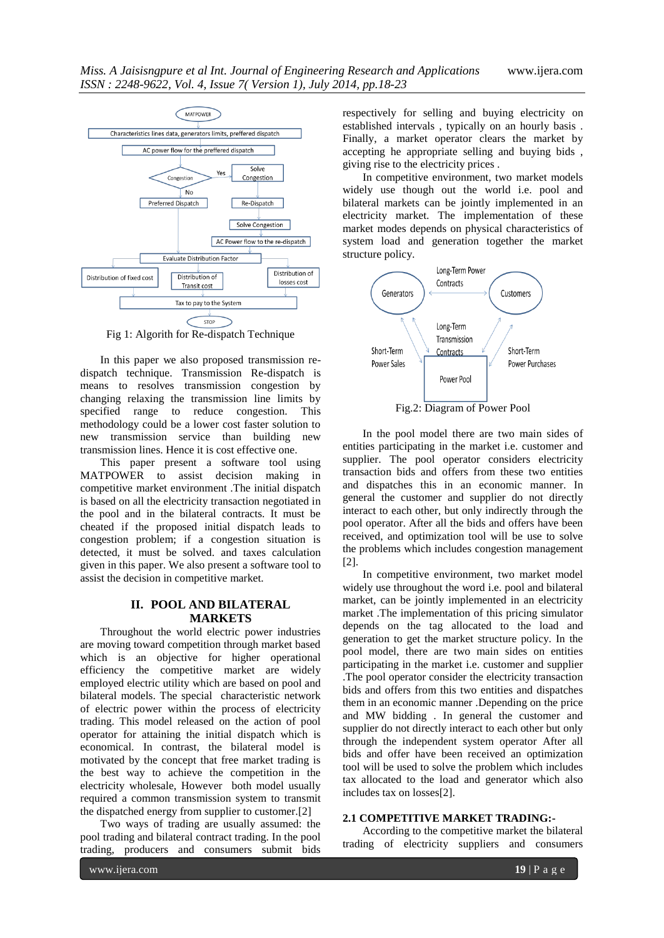

Fig 1: Algorith for Re-dispatch Technique

In this paper we also proposed transmission redispatch technique. Transmission Re-dispatch is means to resolves transmission congestion by changing relaxing the transmission line limits by specified range to reduce congestion. This methodology could be a lower cost faster solution to new transmission service than building new transmission lines. Hence it is cost effective one.

This paper present a software tool using MATPOWER to assist decision making in competitive market environment .The initial dispatch is based on all the electricity transaction negotiated in the pool and in the bilateral contracts. It must be cheated if the proposed initial dispatch leads to congestion problem; if a congestion situation is detected, it must be solved. and taxes calculation given in this paper. We also present a software tool to assist the decision in competitive market.

#### **II. POOL AND BILATERAL MARKETS**

Throughout the world electric power industries are moving toward competition through market based which is an objective for higher operational efficiency the competitive market are widely employed electric utility which are based on pool and bilateral models. The special characteristic network of electric power within the process of electricity trading. This model released on the action of pool operator for attaining the initial dispatch which is economical. In contrast, the bilateral model is motivated by the concept that free market trading is the best way to achieve the competition in the electricity wholesale, However both model usually required a common transmission system to transmit the dispatched energy from supplier to customer.[2]

Two ways of trading are usually assumed: the pool trading and bilateral contract trading. In the pool trading, producers and consumers submit bids respectively for selling and buying electricity on established intervals , typically on an hourly basis . Finally, a market operator clears the market by accepting he appropriate selling and buying bids , giving rise to the electricity prices .

In competitive environment, two market models widely use though out the world i.e. pool and bilateral markets can be jointly implemented in an electricity market. The implementation of these market modes depends on physical characteristics of system load and generation together the market structure policy.



In the pool model there are two main sides of entities participating in the market i.e. customer and supplier. The pool operator considers electricity transaction bids and offers from these two entities and dispatches this in an economic manner. In general the customer and supplier do not directly interact to each other, but only indirectly through the pool operator. After all the bids and offers have been received, and optimization tool will be use to solve the problems which includes congestion management [2].

In competitive environment, two market model widely use throughout the word i.e. pool and bilateral market, can be jointly implemented in an electricity market .The implementation of this pricing simulator depends on the tag allocated to the load and generation to get the market structure policy. In the pool model, there are two main sides on entities participating in the market i.e. customer and supplier .The pool operator consider the electricity transaction bids and offers from this two entities and dispatches them in an economic manner .Depending on the price and MW bidding . In general the customer and supplier do not directly interact to each other but only through the independent system operator After all bids and offer have been received an optimization tool will be used to solve the problem which includes tax allocated to the load and generator which also includes tax on losses[2].

#### **2.1 COMPETITIVE MARKET TRADING:-**

According to the competitive market the bilateral trading of electricity suppliers and consumers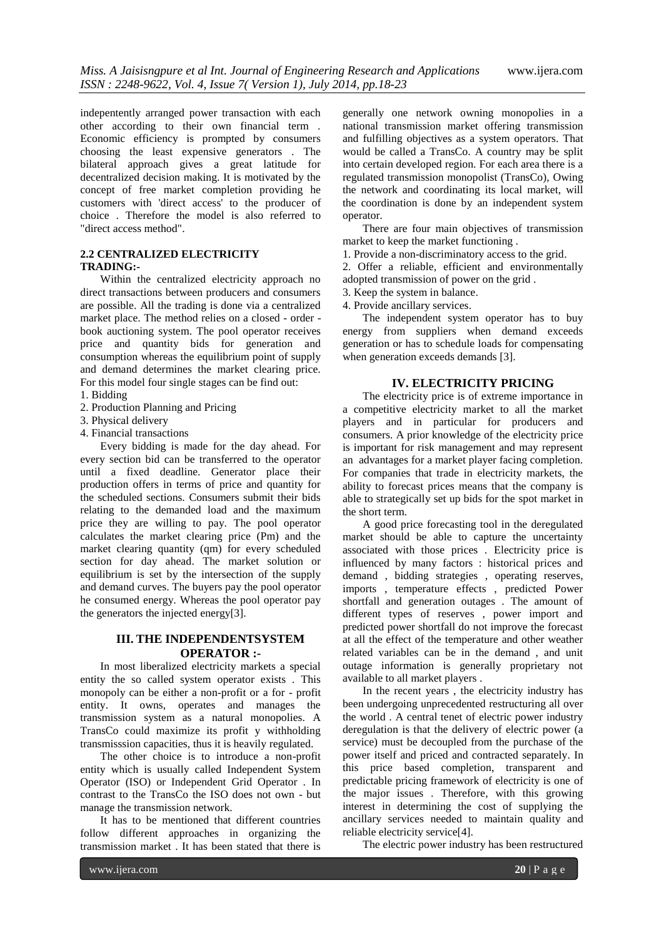indepentently arranged power transaction with each other according to their own financial term . Economic efficiency is prompted by consumers choosing the least expensive generators . The bilateral approach gives a great latitude for decentralized decision making. It is motivated by the concept of free market completion providing he customers with 'direct access' to the producer of choice . Therefore the model is also referred to "direct access method".

## **2.2 CENTRALIZED ELECTRICITY TRADING:-**

Within the centralized electricity approach no direct transactions between producers and consumers are possible. All the trading is done via a centralized market place. The method relies on a closed - order book auctioning system. The pool operator receives price and quantity bids for generation and consumption whereas the equilibrium point of supply and demand determines the market clearing price. For this model four single stages can be find out:

- 1. Bidding
- 2. Production Planning and Pricing
- 3. Physical delivery
- 4. Financial transactions

Every bidding is made for the day ahead. For every section bid can be transferred to the operator until a fixed deadline. Generator place their production offers in terms of price and quantity for the scheduled sections. Consumers submit their bids relating to the demanded load and the maximum price they are willing to pay. The pool operator calculates the market clearing price (Pm) and the market clearing quantity (qm) for every scheduled section for day ahead. The market solution or equilibrium is set by the intersection of the supply and demand curves. The buyers pay the pool operator he consumed energy. Whereas the pool operator pay the generators the injected energy[3].

### **III. THE INDEPENDENTSYSTEM OPERATOR :-**

In most liberalized electricity markets a special entity the so called system operator exists . This monopoly can be either a non-profit or a for - profit entity. It owns, operates and manages the transmission system as a natural monopolies. A TransCo could maximize its profit y withholding transmisssion capacities, thus it is heavily regulated.

The other choice is to introduce a non-profit entity which is usually called Independent System Operator (ISO) or Independent Grid Operator . In contrast to the TransCo the ISO does not own - but manage the transmission network.

It has to be mentioned that different countries follow different approaches in organizing the transmission market . It has been stated that there is

generally one network owning monopolies in a national transmission market offering transmission and fulfilling objectives as a system operators. That would be called a TransCo. A country may be split into certain developed region. For each area there is a regulated transmission monopolist (TransCo), Owing the network and coordinating its local market, will the coordination is done by an independent system operator.

There are four main objectives of transmission market to keep the market functioning .

1. Provide a non-discriminatory access to the grid.

2. Offer a reliable, efficient and environmentally adopted transmission of power on the grid .

- 3. Keep the system in balance.
- 4. Provide ancillary services.

The independent system operator has to buy energy from suppliers when demand exceeds generation or has to schedule loads for compensating when generation exceeds demands [3].

#### **IV. ELECTRICITY PRICING**

The electricity price is of extreme importance in a competitive electricity market to all the market players and in particular for producers and consumers. A prior knowledge of the electricity price is important for risk management and may represent an advantages for a market player facing completion. For companies that trade in electricity markets, the ability to forecast prices means that the company is able to strategically set up bids for the spot market in the short term.

A good price forecasting tool in the deregulated market should be able to capture the uncertainty associated with those prices . Electricity price is influenced by many factors : historical prices and demand , bidding strategies , operating reserves, imports , temperature effects , predicted Power shortfall and generation outages . The amount of different types of reserves , power import and predicted power shortfall do not improve the forecast at all the effect of the temperature and other weather related variables can be in the demand , and unit outage information is generally proprietary not available to all market players .

In the recent years , the electricity industry has been undergoing unprecedented restructuring all over the world . A central tenet of electric power industry deregulation is that the delivery of electric power (a service) must be decoupled from the purchase of the power itself and priced and contracted separately. In this price based completion, transparent and predictable pricing framework of electricity is one of the major issues . Therefore, with this growing interest in determining the cost of supplying the ancillary services needed to maintain quality and reliable electricity service[4].

The electric power industry has been restructured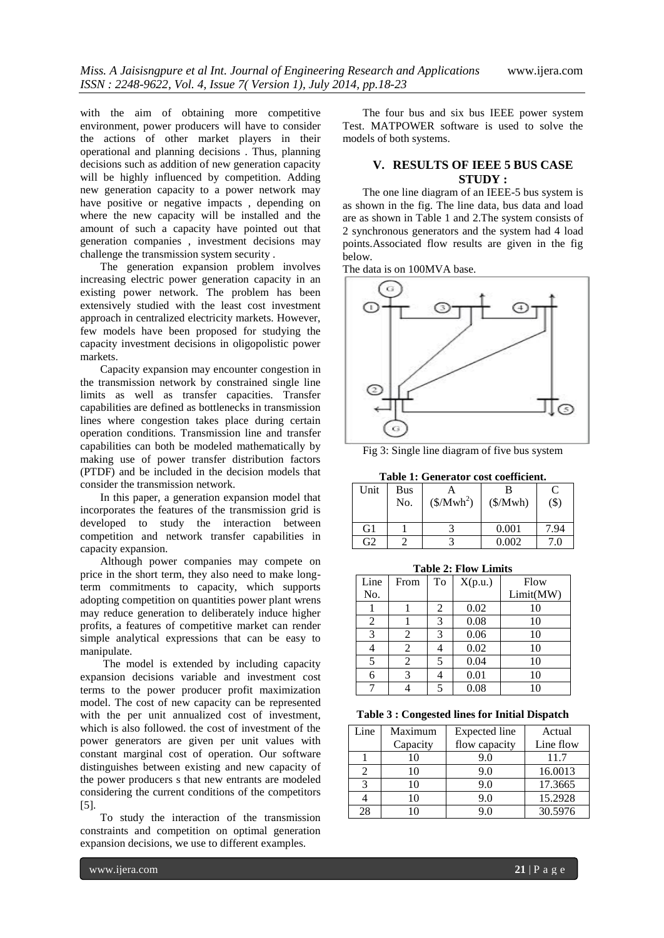with the aim of obtaining more competitive environment, power producers will have to consider the actions of other market players in their operational and planning decisions . Thus, planning decisions such as addition of new generation capacity will be highly influenced by competition. Adding new generation capacity to a power network may have positive or negative impacts , depending on where the new capacity will be installed and the amount of such a capacity have pointed out that generation companies , investment decisions may challenge the transmission system security .

The generation expansion problem involves increasing electric power generation capacity in an existing power network. The problem has been extensively studied with the least cost investment approach in centralized electricity markets. However, few models have been proposed for studying the capacity investment decisions in oligopolistic power markets.

Capacity expansion may encounter congestion in the transmission network by constrained single line limits as well as transfer capacities. Transfer capabilities are defined as bottlenecks in transmission lines where congestion takes place during certain operation conditions. Transmission line and transfer capabilities can both be modeled mathematically by making use of power transfer distribution factors (PTDF) and be included in the decision models that consider the transmission network.

In this paper, a generation expansion model that incorporates the features of the transmission grid is developed to study the interaction between competition and network transfer capabilities in capacity expansion.

Although power companies may compete on price in the short term, they also need to make longterm commitments to capacity, which supports adopting competition on quantities power plant wrens may reduce generation to deliberately induce higher profits, a features of competitive market can render simple analytical expressions that can be easy to manipulate.

The model is extended by including capacity expansion decisions variable and investment cost terms to the power producer profit maximization model. The cost of new capacity can be represented with the per unit annualized cost of investment, which is also followed. the cost of investment of the power generators are given per unit values with constant marginal cost of operation. Our software distinguishes between existing and new capacity of the power producers s that new entrants are modeled considering the current conditions of the competitors [5].

To study the interaction of the transmission constraints and competition on optimal generation expansion decisions, we use to different examples.

The four bus and six bus IEEE power system Test. MATPOWER software is used to solve the models of both systems.

### **V. RESULTS OF IEEE 5 BUS CASE STUDY :**

The one line diagram of an IEEE-5 bus system is as shown in the fig. The line data, bus data and load are as shown in Table 1 and 2.The system consists of 2 synchronous generators and the system had 4 load points.Associated flow results are given in the fig below.

The data is on 100MVA base.



Fig 3: Single line diagram of five bus system

**Table 1: Generator cost coefficient.**

| Tabic 1. Generator cost coemetent. |     |             |          |         |  |  |  |
|------------------------------------|-----|-------------|----------|---------|--|--|--|
| Unit                               | Bus |             |          | C       |  |  |  |
|                                    | No. | $($/Mwh^2)$ | (\$/Mwh) | $($ \$) |  |  |  |
|                                    |     |             |          |         |  |  |  |
| G <sub>1</sub>                     |     |             | 0.001    | 7.94    |  |  |  |
| G <sub>2</sub>                     |     |             | 0.002    |         |  |  |  |

| <b>Table 2: Flow Limits</b> |      |    |         |           |  |  |  |  |
|-----------------------------|------|----|---------|-----------|--|--|--|--|
| Line                        | From | To | X(p.u.) | Flow      |  |  |  |  |
| No.                         |      |    |         | Limit(MW) |  |  |  |  |
|                             |      | 2  | 0.02    | 10        |  |  |  |  |
| 2                           |      | 3  | 0.08    | 10        |  |  |  |  |
| 3                           | 2    | 3  | 0.06    | 10        |  |  |  |  |
|                             | 2    |    | 0.02    | 10        |  |  |  |  |
| 5                           | 2    | 5  | 0.04    | 10        |  |  |  |  |
| 6                           | 3    |    | 0.01    | 10        |  |  |  |  |
|                             |      |    | 0.08    | 10        |  |  |  |  |

#### **Table 3 : Congested lines for Initial Dispatch**

| Line | Maximum  | Expected line | Actual    |
|------|----------|---------------|-----------|
|      | Capacity | flow capacity | Line flow |
|      | 10       | 9.0           | 11.7      |
|      | 10       | 9.0           | 16.0013   |
|      | 10       | 9.0           | 17.3665   |
|      | 10       | 9.0           | 15.2928   |
| 28   |          | 90            | 30.5976   |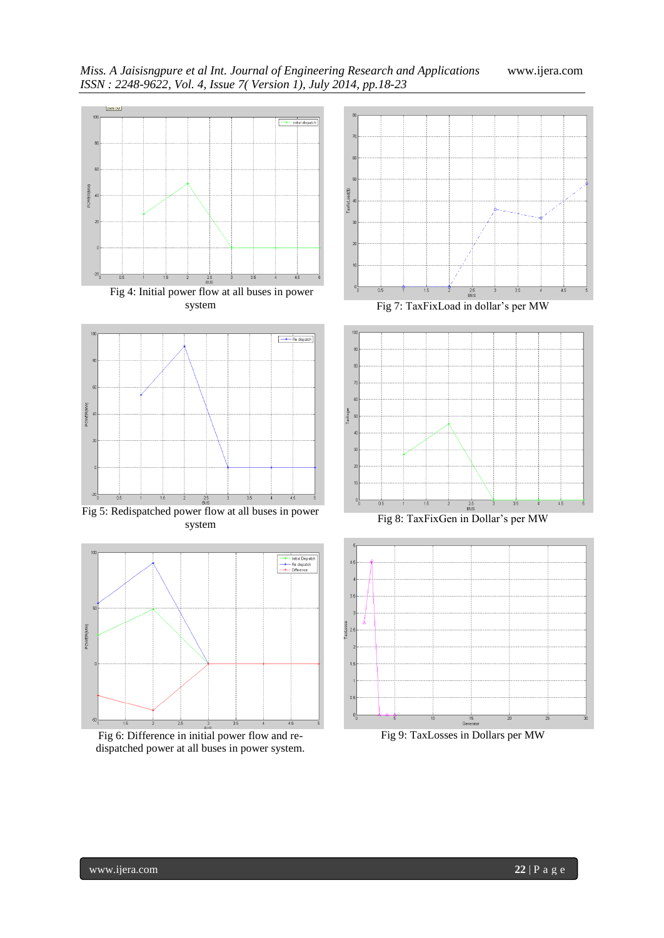

Fig 5: Redispatched power flow at all buses in power system



Fig 6: Difference in initial power flow and redispatched power at all buses in power system.



Fig 7: TaxFixLoad in dollar's per MW



Fig 8: TaxFixGen in Dollar's per MW



Fig 9: TaxLosses in Dollars per MW